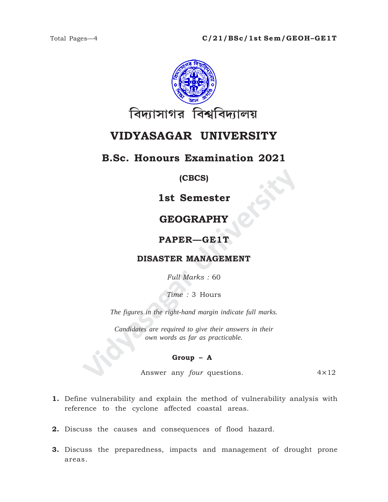

## **VIDYASAGAR UNIVERSITY**

### **B.Sc. Honours Examination 2021**

#### **(CBCS)**

### **1st Semester**

## **GEOGRAPHY**

#### **PAPER—GE1T**

#### **DISASTER MANAGEMENT**

*Full Marks :* 60

*Time :* 3 Hours

*The figures in the right-hand margin indicate full marks.*

**IST SEMESTER<br>
GEOGRAPHY<br>
PAPER—GE1T<br>
DISASTER MANAGEMENT<br>
Full Marks : 60<br>
Time : 3 Hours<br>
The figures in the right-hand margin indicate full marks.<br>
Candidates are required to give their answers in their<br>
cover are pair** *Candidates are required to give their answers in their own words as far as practicable.*

#### **Group – A**

Answer any *four* questions. 4×12

- **1.** Define vulnerability and explain the method of vulnerability analysis with reference to the cyclone affected coastal areas.
- **2.** Discuss the causes and consequences of flood hazard.
- **3.** Discuss the preparedness, impacts and management of drought prone areas.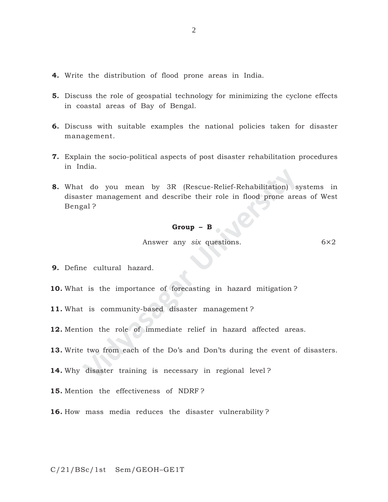- **4.** Write the distribution of flood prone areas in India.
- **5.** Discuss the role of geospatial technology for minimizing the cyclone effects in coastal areas of Bay of Bengal.
- **6.** Discuss with suitable examples the national policies taken for disaster management.
- **7.** Explain the socio-political aspects of post disaster rehabilitation procedures in India.
- Chief-Rehabilitation 1 states and the service of their role in flood prone are:<br>
1 star management and describe their role in flood prone are:<br>
1 **Group B**<br>
2 **Group B**<br>
Answer any *six* questions.<br>
1 is the importance **8.** What do you mean by 3R (Rescue-Relief-Rehabilitation) systems in disaster management and describe their role in flood prone areas of West Bengal ?

#### **Group – B**

Answer any *six* questions. 6×2

- **9.** Define cultural hazard.
- **10.** What is the importance of forecasting in hazard mitigation ?
- **11.** What is community-based disaster management ?
- **12.** Mention the role of immediate relief in hazard affected areas.
- **13.** Write two from each of the Do's and Don'ts during the event of disasters.
- **14.** Why disaster training is necessary in regional level ?
- **15.** Mention the effectiveness of NDRF ?
- **16.** How mass media reduces the disaster vulnerability ?

C/21/BSc/1st Sem/GEOH–GE1T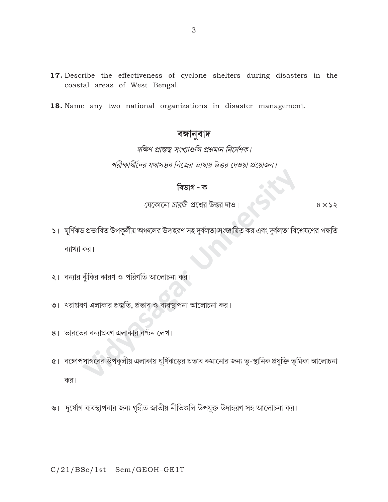- 17. Describe the effectiveness of cyclone shelters during disasters in the coastal areas of West Bengal.
- 18. Name any two national organizations in disaster management.

## বঙ্গানুবাদ

# দক্ষিণ প্রান্তস্থ সংখ্যাগুলি প্রশ্নমান নির্দেশক। পরীক্ষার্থীদের যথাসম্ভব নিজের ভাষায় উত্তর দেওয়া প্রয়োজন।

# বিভাগ - ক

যেকোনো *চারটি প্র*শ্নের উত্তর দাও।

 $8 \times 22$ 

- ১। ঘূর্ণিঝড় প্রভাবিত উপকূলীয় অঞ্চলের উদাহরণ সহ দুর্বলতা সংজ্ঞায়িত কর এবং দুর্বলতা বিশ্লেষণের পদ্ধতি ব্যাখ্যা কর।
- ২। বন্যার ঝুঁকির কারণ ও পরিণতি আলোচনা কর।
- ৩। খরাপ্রবণ এলাকার প্রস্তুতি, প্রভাব ও ব্যবস্থাপনা আলোচনা কর।
- ৪। ভারতের বন্যাপ্রবণ এলাকার বণ্টন লেখ।
- ৫। বঙ্গোপসাগরের উপকূলীয় এলাকায় ঘূর্ণিঝড়ের প্রভাব কমানোর জন্য ভূ-স্থানিক প্রযুক্তি ভূমিকা আলোচনা কর।
- ৬। দুর্যোগ ব্যবস্থাপনার জন্য গৃহীত জাতীয় নীতিগুলি উপযুক্ত উদাহরণ সহ আলোচনা কর।